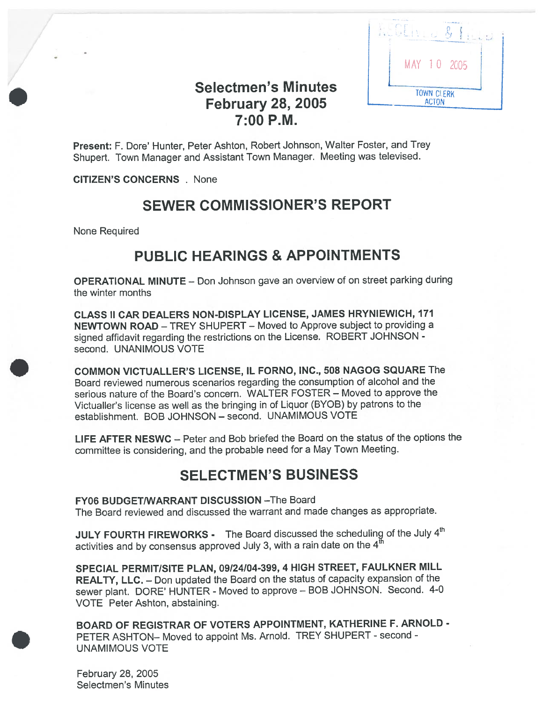

# Selectmen's Minutes February 28, 2005 7:00 P.M.

Present: F. Dore' Hunter, Peter Ashton, Robert Johnson, Walter Foster, and Trey Shupert. Town Manager and Assistant Town Manager. Meeting was televised.

CITIZEN'S CONCERNS . None

# SEWER COMMISSIONER'S REPORT

None Required

# PUBLIC HEARINGS & APPOINTMENTS

OPERATIONAL MINUTE — Don Johnson gave an overview of on street parking during the winter months

CLASS II CAR DEALERS NON-DISPLAY LICENSE, JAMES HRYNIEWICH, 171 NEWTOWN ROAD — TREY SHUPERT — Moved to Approve subject to providing <sup>a</sup> signed affidavit regarding the restrictions on the License. ROBERT JOHNSON second. UNANIMOUS VOTE

COMMON VICTUALLER'S LICENSE, IL FORNO, INC., 508 NAGOG SQUARE The Board reviewed numerous scenarios regarding the consumption of alcohol and the serious nature of the Board's concern. WALTER FOSTER — Moved to approve the Victualler's license as well as the bringing in of Liquor (BYOB) by patrons to the establishment. BOB JOHNSON — second. UNAMIMOUS VOTE

LIFE AFTER NESWC — Peter and Bob briefed the Board on the status of the options the committee is considering, and the probable need for <sup>a</sup> May Town Meeting.

# SELECTMEN'S BUSINESS

FY06 BUDGET/WARRANT DISCUSSION —The Board The Board reviewed and discussed the warrant and made changes as appropriate.

JULY FOURTH FIREWORKS - The Board discussed the scheduling of the July 4th activities and by consensus approved July 3, with a rain date on the  $4^{\overline{th}}$ 

SPECIAL PERMIT/SITE PLAN, 09/24/04-399, <sup>4</sup> HIGH STREET, FAULKNER MILL REALTY, LLC. — Don updated the Board on the status of capacity expansion of the sewer <sup>p</sup>lant. DORE' HUNTER - Moved to approve — BOB JOHNSON. Second. 4-0 VOTE Peter Ashton, abstaining.

BOARD OF REGISTRAR OF VOTERS APPOINTMENT, KATHERINE F. ARNOLD - PETER ASHTON- Moved to appoint Ms. Arnold. TREY SHUPERT - second -UNAMIMOUS VOTE

February 28, 2005 Selectmen's Minutes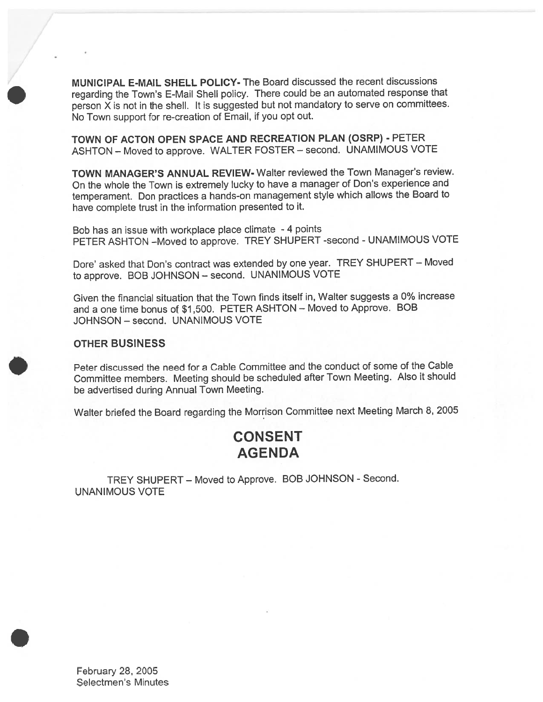MUNICIPAL E-MAIL SHELL POLICY- The Board discussed the recent discussions regarding the Town's E-Mail Shell policy. There could be an automated response that person <sup>X</sup> is not in the shell. It is suggested but not mandatory to serve on committees. No Town suppor<sup>t</sup> for re-creation of Email, if you op<sup>t</sup> out.

TOWN OF ACTON OPEN SPACE AND RECREATION PLAN (OSRP) - PETER ASHTON — Moved to approve. WALTER FOSTER — second. UNAMIMOUS VOTE

TOWN MANAGER'S ANNUAL REVIEW- Walter reviewed the Town Manager's review. On the whole the Town is extremely lucky to have <sup>a</sup> manager of Don's experience and temperament. Don practices <sup>a</sup> hands-on managemen<sup>t</sup> style which allows the Board to have complete trust in the information presented to it.

Bob has an issue with workplace <sup>p</sup>lace climate - <sup>4</sup> points PETER ASHTON —Moved to approve. TREY SHUPERT -second - UNAMIMOUS VOTE

Dore' asked that Don's contract was extended by one year. TREY SHUPERT — Moved to approve. BOB JOHNSON — second. UNANIMOUS VOTE

Given the financial situation that the Town finds itself in, Walter suggests <sup>a</sup> 0% increase and <sup>a</sup> one time bonus of \$1 ,500. PETER ASHTON — Moved to Approve. BOB JOHNSON — second. UNANIMOUS VOTE

#### OTHER BUSINESS

/

Peter discussed the need for <sup>a</sup> Cable Committee and the conduct of some of the Cable Committee members. Meeting should be scheduled after Town Meeting. Also it should be advertised during Annual Town Meeting.

Walter briefed the Board regarding the Morrison Committee next Meeting March 8, 2005

# **CONSENT** AGENDA

TREY SHUPERT — Moved to Approve. BOB JOHNSON - Second. UNANIMOUS VOTE

February 28, 2005 Selectmen's Minutes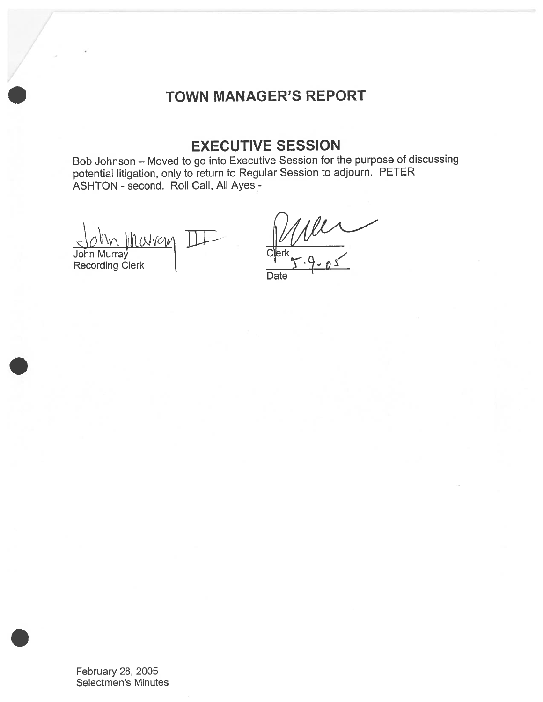# TOWN MANAGER'S REPORT

# EXECUTIVE SESSION

Bob Johnson — Moved to go into Executive Session for the purpose of discussing potential litigation, only to return to Regular Session to adjourn. PETER ASHTON - second. Roll Call, All Ayes -

navan John Murray Recording Clerk

 $\mu$ 

**Date** 

February 28, 2005 Selectmen's Minutes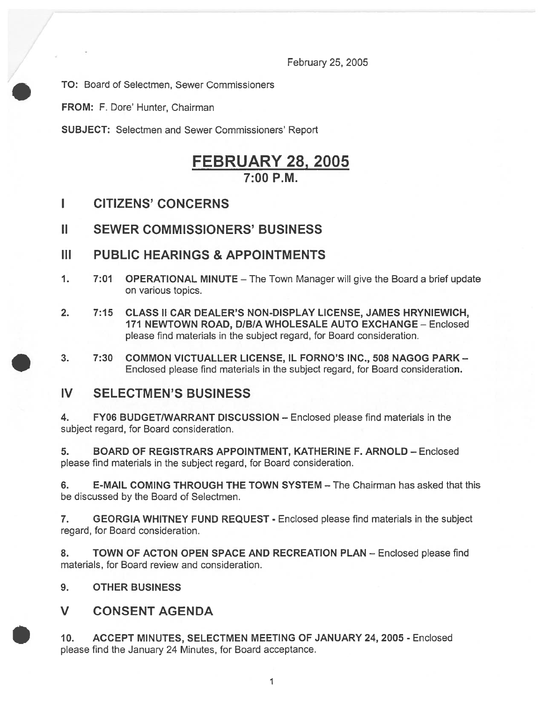February 25, 2005

TO: Board of Selectmen, Sewer Commissioners

FROM: F. Dore' Hunter, Chairman

SUBJECT: Selectmen and Sewer Commissioners' Report

# FEBRUARY 28, 2005 7:00 P.M.

I CITIZENS' CONCERNS

## II SEWER COMMISSIONERS' BUSINESS

- III PUBLIC HEARINGS & APPOINTMENTS
- 1. 7:01 OPERATIONAL MINUTE The Town Manager will give the Board <sup>a</sup> brief update on various topics.
- 2. 7:15 CLASS II CAR DEALER'S NON-DISPLAY LICENSE, JAMES HRYNIEWICH, 171 NEWTOWN ROAD, D/BIA WHOLESALE AUTO EXCHANGE — Enclosed please find materials in the subject regard, for Board consideration.
- 3. 7:30 COMMON VICTUALLER LICENSE, IL FORNO'S INC., 508 NAGOG PARK Enclosed please find materials in the subject regard, for Board consideration.

## IV SELECTMEN'S BUSINESS

4. FY06 BUDGET/WARRANT DISCUSSION — Enclosed please find materials in the subject regard, for Board consideration.

5. BOARD OF REGISTRARS APPOINTMENT, KATHERINE F. ARNOLD — Enclosed please find materials in the subject regard, for Board consideration.

6. E-MAIL COMING THROUGH THE TOWN SYSTEM — The Chairman has asked that this be discussed by the Board of Selectmen.

7. GEORGIA WHITNEY FUND REQUEST - Enclosed please find materials in the subject regard, for Board consideration.

8. TOWN OF ACTON OPEN SPACE AND RECREATION PLAN - Enclosed please find materials, for Board review and consideration.

9. OTHER BUSINESS

V CONSENT AGENDA

10. ACCEPT MINUTES, SELECTMEN MEETING OF JANUARY 24, 2005 - Enclosed please find the January 24 Minutes, for Board acceptance.

 $\mathbf{1}$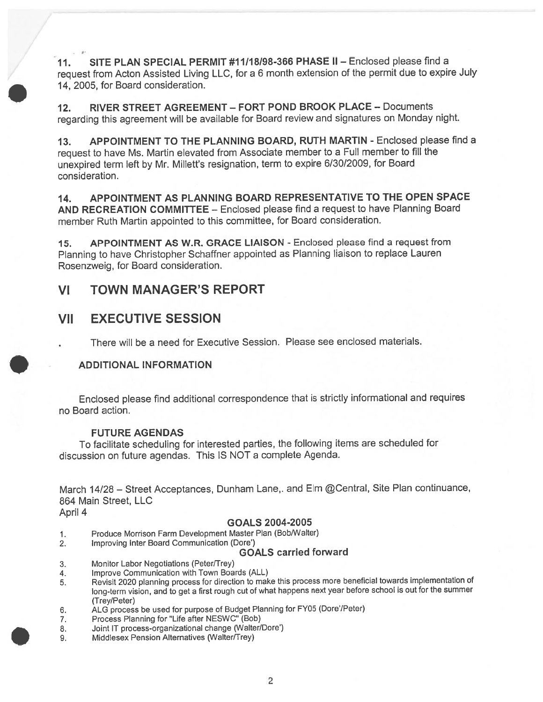11. SITE PLAN SPECIAL PERMIT #11118198-366 PHASE II — Enclosed please find <sup>a</sup> reques<sup>t</sup> from Acton Assisted Living LLC, for <sup>a</sup> <sup>6</sup> month extension of the permit due to expire July 14, 2005, for Board consideration.

12. RIVER STREET AGREEMENT — FORT POND BROOK PLACE — Documents regarding this agreemen<sup>t</sup> will be available for Board review and signatures on Monday night.

13. APPOINTMENT TO THE PLANNING BOARD, RUTH MARTIN - Enclosed please find <sup>a</sup> reques<sup>t</sup> to have Ms. Martin elevated from Associate member to <sup>a</sup> Full member to fill the unexpired term left by Mr. Millett's resignation, term to expire 6/30/2009, for Board consideration.

14. APPOINTMENT AS PLANNING BOARD REPRESENTATIVE TO THE OPEN SPACE AND RECREATION COMMITTEE — Enclosed please find <sup>a</sup> reques<sup>t</sup> to have Planning Board member Ruth Martin appointed to this committee, for Board consideration.

15. APPOINTMENT AS W.R. GRACE LIAISON - Enclosed please find <sup>a</sup> reques<sup>t</sup> from Planning to have Christopher Schaffner appointed as Planning liaison to replace Lauren Rosenzweig, for Board consideration.

## VI TOWN MANAGER'S REPORT

## VII EXECUTIVE SESSION

There will be <sup>a</sup> need for Executive Session. Please see enclosed materials.

### ADDITIONAL INFORMATION

Enclosed <sup>p</sup>lease find additional correspondence that is strictly informational and requires no Board action.

#### FUTURE AGENDAS

To facilitate scheduling for interested parties, the following items are scheduled for discussion on future agendas. This IS NOT <sup>a</sup> complete Agenda.

March 14/28 - Street Acceptances, Dunham Lane,. and Elm @Central, Site Plan continuance, 864 Main Street, LLC April 4

#### GOALS 2004-2005

- 1. Produce Morrison Farm Development Master Plan (Bob/Walter)
- 2. Improving Inter Board Communication (Dore')

#### GOALS carried forward

- 3. Monitor Labor Negotiations (Peter/Trey)
- 4. Improve Communication with Town Boards (ALL)
- 5. Revisit <sup>2020</sup> <sup>p</sup>lanning process for direction to make this process more beneficial towards implementation of long-term vision, and to ge<sup>t</sup> <sup>a</sup> first roug<sup>h</sup> cut of what happens next year before school is out for the summer (Trey/Peter)
- 6. ALG process be used for purpose of Budget Planning for FY05 (Dore'/Peter)
- 7. Process Planning for "Life after NESWC" (Bob)
- 8. Joint IT process-organizational change (Walter/Dore')
- 9. Middlesex Pension Alternatives (Walter/Trey)